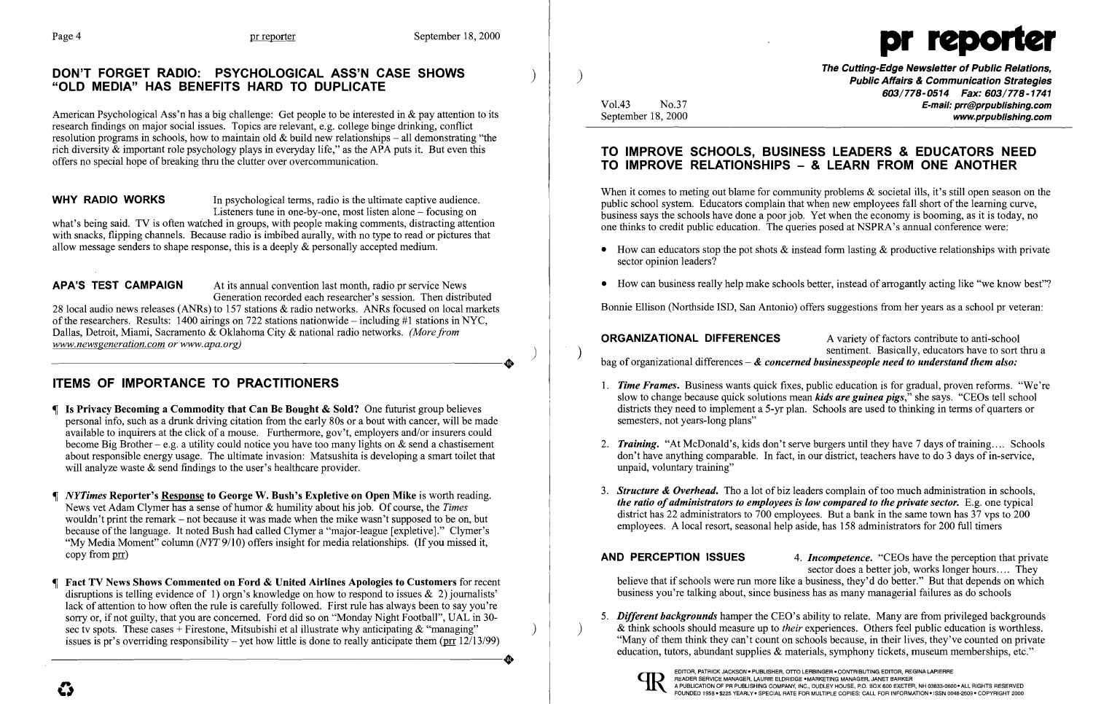# DON'T FORGET RADIO: PSYCHOLOGICAL ASS'N CASE SHOWS "OLD MEDIA" HAS BENEFITS HARD TO DUPLICATE

American Psychological Ass'n has a big challenge: Get people to be interested in & pay attention to its research findings on major social issues. Topics are relevant, e.g. college binge drinking, conflict resolution programs in schools, how to maintain old  $\&$  build new relationships – all demonstrating "the rich diversity & important role psychology plays in everyday life," as the APA puts it. But even this offers no special hope of breaking thru the clutter over overcommunication.

WHY RADIO WORKS In psychological terms, radio is the ultimate captive audience. Listeners tune in one-by-one, most listen alone - focusing on

APA'S TEST CAMPAIGN At its annual convention last month, radio pr service News Generation recorded each researcher's session. Then distributed 28 local audio news releases (ANRs) to 157 stations & radio networks. ANRs focused on local markets of the researchers. Results: 1400 airings on 722 stations nationwide – including #1 stations in NYC, Dallas, Detroit, Miami, Sacramento & Oklahoma City & national radio networks. *(More from www.newsgeneration.com or www.apa.org) www.newsgeneration.com or www.apa.org)* )

- Is Privacy Becoming a Commodity that Can Be Bought & Sold? One futurist group believes personal info, such as a drunk driving citation from the early 80s or a bout with cancer, will be made available to inquirers at the click of a mouse. Furthermore, gov't, employers and/or insurers could become Big Brother – e.g. a utility could notice you have too many lights on  $\&$  send a chastisement about responsible energy usage. The ultimate invasion: Matsushita is developing a smart toilet that will analyze waste & send findings to the user's healthcare provider.
- *NYTimes* Reporter's Response to George W. Bush's Expletive on Open Mike is worth reading. News vet Adam Clymer has a sense of humor & humility about his job. Of course, the *Times*  wouldn't print the remark – not because it was made when the mike wasn't supposed to be on, but because of the language. It noted Bush had called Clymer a "major-league [expletive]." Clymer's "My Media Moment" column (NYT 9/10) offers insight for media relationships. (If you missed it, copy from prr)
- Fact TV News Shows Commented on Ford & United Airlines Apologies to Customers for recent disruptions is telling evidence of 1) orgn's knowledge on how to respond to issues  $\&$  2) journalists' lack of attention to how often the rule is carefully followed. First rule has always been to say you're sorry or, if not guilty, that you are concerned. Ford did so on "Monday Night Football", UAL in 30sec tv spots. These cases + Firestone, Mitsubishi et al illustrate why anticipating  $\&$  "managing" issues is pr's overriding responsibility – yet how little is done to really anticipate them ( $\frac{\text{prr}}{\text{12}}$  12/13/99) sec tv spots. These cases + Firestone, Mitsubishi et al illustrate why anticipating & "managing" issues is pr's overriding responsibility – yet how little is done to really anticipate them ( $prr$  12/13/99)

what's being said. TV is often watched in groups, with people making comments, distracting attention with snacks, flipping channels. Because radio is imbibed aurally, with no type to read or pictures that allow message senders to shape response, this is a deeply & personally accepted medium.

# ITEMS OF IMPORTANCE TO PRACTITIONERS

The Cutting-Edge Newsletter of Public Relations, ) Public Affairs & Communication Strategies *603/778-0514 Fax: 603/778-1741*  Vol.43 No.37 No.37 No.37 **E-mail: prr@prpublishing.com** www.prpublishing.com

• How can educators stop the pot shots  $\&$  instead form lasting  $\&$  productive relationships with private

• How can business really help make schools better, instead of arrogantly acting like "we know best"?

# TO IMPROVE SCHOOLS, BUSINESS LEADERS & EDUCATORS NEED TO IMPROVE RELATIONSHIPS - & LEARN FROM ONE ANOTHER

When it comes to meting out blame for community problems & societal ills, it's still open season on the public school system. Educators complain that when new employees fall short ofthe learning curve, business says the schools have done a poor job. Yet when the economy is booming, as it is today, no one thinks to credit public education. The queries posed at NSPRA's annual conference were:

3. **Structure & Overhead.** Tho a lot of biz leaders complain of too much administration in schools, *the ratio of administrators to employees is low compared to the private sector.* E.g. one typical district has 22 administrators to 700 employees. But a bank in the same town has 37 vps to 200

AND PERCEPTION ISSUES 4. *Incompetence*. "CEOs have the perception that private believe that if schools were run more like a business, they'd do better." But that depends on which business you're talking about, since business has as many managerial failures as do schools



 $\boldsymbol{\mathcal{G}}$ 

- sector opinion leaders?
- 

Bonnie Ellison (Northside lSD, San Antonio) offers suggestions from her years as a school pr veteran:

**ORGANIZATIONAL DIFFERENCES** A variety of factors contribute to anti-school<br>sentiment. Basically, educators have to sort thru a  $\sum_{n=1}^{\infty}$  sentiment. Basically, educators have to sort thru a bag of organizational differences – & *concerned businesspeople need to understand them also*:

*1. Time Frames.* Business wants quick fixes, public education is for gradual, proven reforms. "We're slow to change because quick solutions mean *kids are guinea pigs,"* she says. "CEOs tell school districts they need to implement a 5-yr plan. Schools are used to thinking in terms of quarters or

*2. Training.* "At McDonald's, kids don't serve burgers until they have 7 days of training.... Schools don't have anything comparable. In fact, in our district, teachers have to do 3 days of in-service,

- semesters, not years-long plans"
- unpaid, voluntary training"
- employees. A local resort, seasonal help aside, has 158 administrators for 200 full timers

sector does a better job, works longer hours .... They

*5. Different backgrounds* hamper the CEO's ability to relate. Many are from privileged backgrounds ) & think schools should measure up to *their* experiences. Others feel public education is worthless. "Many of them think they can't count on schools because, in their lives, they've counted on private education, tutors, abundant supplies & materials, symphony tickets, museum memberships, etc."